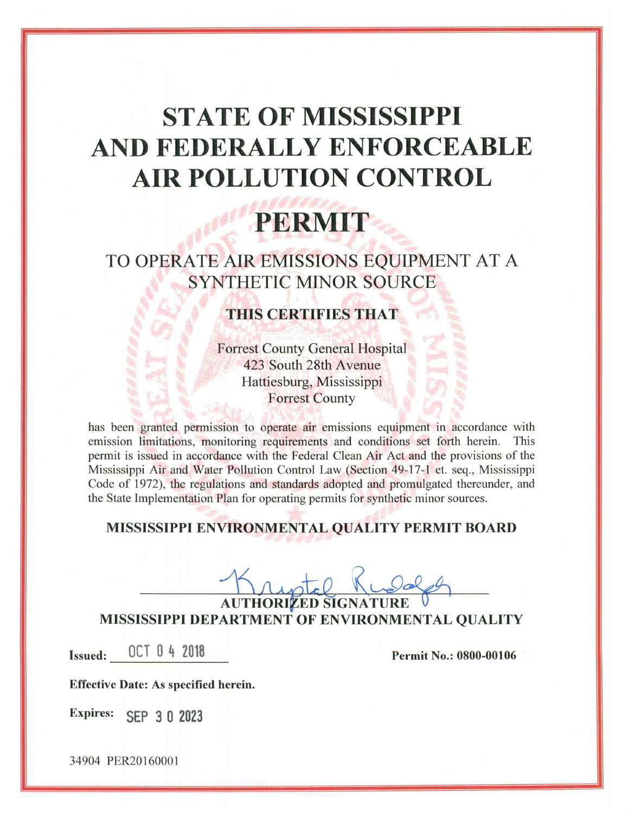## **STATE OF MISSISSIPPI** AND FEDERALLY ENFORCEABLE **AIR POLLUTION CONTROL**

# PERMIT

### TO OPERATE AIR EMISSIONS EQUIPMENT AT A **SYNTHETIC MINOR SOURCE**

### **THIS CERTIFIES THAT**

**Forrest County General Hospital** 423 South 28th Avenue Hattiesburg, Mississippi **Forrest County** 

has been granted permission to operate air emissions equipment in accordance with emission limitations, monitoring requirements and conditions set forth herein. This permit is issued in accordance with the Federal Clean Air Act and the provisions of the Mississippi Air and Water Pollution Control Law (Section 49-17-1 et. seq., Mississippi Code of 1972), the regulations and standards adopted and promulgated thereunder, and the State Implementation Plan for operating permits for synthetic minor sources.

#### MISSISSIPPI ENVIRONMENTAL QUALITY PERMIT BOARD

**AUTHORIZED SIGNATURE** MISSISSIPPI DEPARTMENT OF ENVIRONMENTAL QUALITY

Issued: 0CT 0 4 2018

**Permit No.: 0800-00106** 

**Effective Date: As specified herein.** 

Expires: SEP 3 0 2023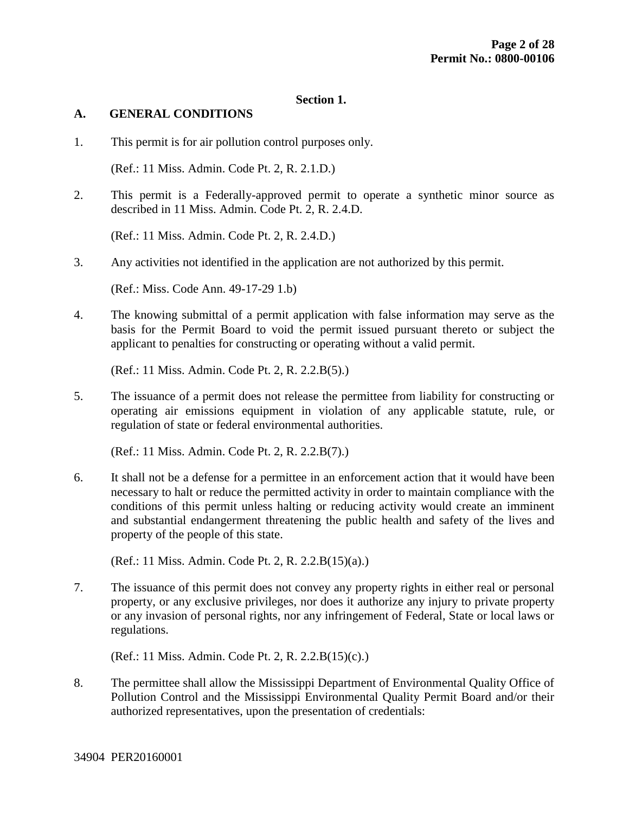#### **Section 1.**

#### **A. GENERAL CONDITIONS**

1. This permit is for air pollution control purposes only.

(Ref.: 11 Miss. Admin. Code Pt. 2, R. 2.1.D.)

2. This permit is a Federally-approved permit to operate a synthetic minor source as described in 11 Miss. Admin. Code Pt. 2, R. 2.4.D.

(Ref.: 11 Miss. Admin. Code Pt. 2, R. 2.4.D.)

3. Any activities not identified in the application are not authorized by this permit.

(Ref.: Miss. Code Ann. 49-17-29 1.b)

4. The knowing submittal of a permit application with false information may serve as the basis for the Permit Board to void the permit issued pursuant thereto or subject the applicant to penalties for constructing or operating without a valid permit.

(Ref.: 11 Miss. Admin. Code Pt. 2, R. 2.2.B(5).)

5. The issuance of a permit does not release the permittee from liability for constructing or operating air emissions equipment in violation of any applicable statute, rule, or regulation of state or federal environmental authorities.

(Ref.: 11 Miss. Admin. Code Pt. 2, R. 2.2.B(7).)

6. It shall not be a defense for a permittee in an enforcement action that it would have been necessary to halt or reduce the permitted activity in order to maintain compliance with the conditions of this permit unless halting or reducing activity would create an imminent and substantial endangerment threatening the public health and safety of the lives and property of the people of this state.

(Ref.: 11 Miss. Admin. Code Pt. 2, R. 2.2.B(15)(a).)

7. The issuance of this permit does not convey any property rights in either real or personal property, or any exclusive privileges, nor does it authorize any injury to private property or any invasion of personal rights, nor any infringement of Federal, State or local laws or regulations.

(Ref.: 11 Miss. Admin. Code Pt. 2, R. 2.2.B(15)(c).)

8. The permittee shall allow the Mississippi Department of Environmental Quality Office of Pollution Control and the Mississippi Environmental Quality Permit Board and/or their authorized representatives, upon the presentation of credentials: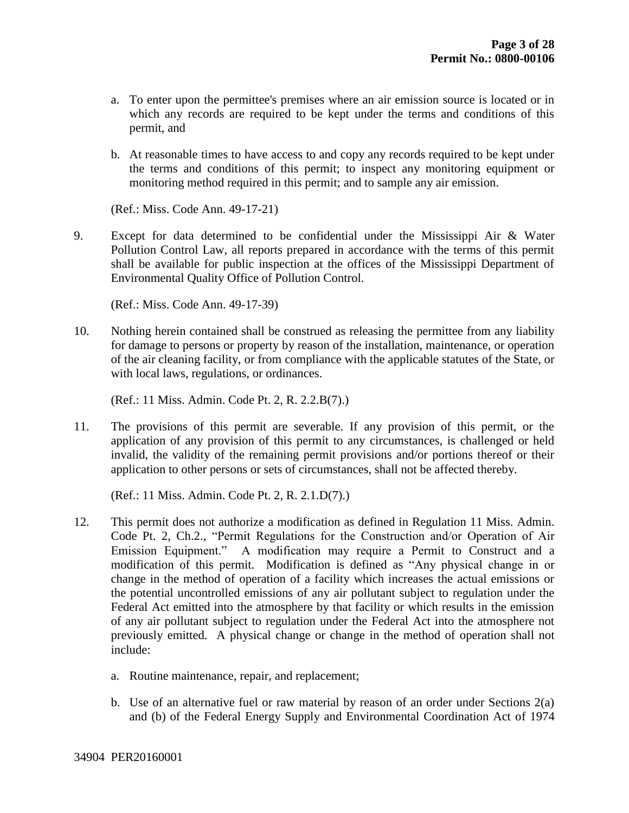- a. To enter upon the permittee's premises where an air emission source is located or in which any records are required to be kept under the terms and conditions of this permit, and
- b. At reasonable times to have access to and copy any records required to be kept under the terms and conditions of this permit; to inspect any monitoring equipment or monitoring method required in this permit; and to sample any air emission.

(Ref.: Miss. Code Ann. 49-17-21)

9. Except for data determined to be confidential under the Mississippi Air & Water Pollution Control Law, all reports prepared in accordance with the terms of this permit shall be available for public inspection at the offices of the Mississippi Department of Environmental Quality Office of Pollution Control.

(Ref.: Miss. Code Ann. 49-17-39)

10. Nothing herein contained shall be construed as releasing the permittee from any liability for damage to persons or property by reason of the installation, maintenance, or operation of the air cleaning facility, or from compliance with the applicable statutes of the State, or with local laws, regulations, or ordinances.

(Ref.: 11 Miss. Admin. Code Pt. 2, R. 2.2.B(7).)

11. The provisions of this permit are severable. If any provision of this permit, or the application of any provision of this permit to any circumstances, is challenged or held invalid, the validity of the remaining permit provisions and/or portions thereof or their application to other persons or sets of circumstances, shall not be affected thereby.

(Ref.: 11 Miss. Admin. Code Pt. 2, R. 2.1.D(7).)

- 12. This permit does not authorize a modification as defined in Regulation 11 Miss. Admin. Code Pt. 2, Ch.2., "Permit Regulations for the Construction and/or Operation of Air Emission Equipment." A modification may require a Permit to Construct and a modification of this permit. Modification is defined as "Any physical change in or change in the method of operation of a facility which increases the actual emissions or the potential uncontrolled emissions of any air pollutant subject to regulation under the Federal Act emitted into the atmosphere by that facility or which results in the emission of any air pollutant subject to regulation under the Federal Act into the atmosphere not previously emitted. A physical change or change in the method of operation shall not include:
	- a. Routine maintenance, repair, and replacement;
	- b. Use of an alternative fuel or raw material by reason of an order under Sections 2(a) and (b) of the Federal Energy Supply and Environmental Coordination Act of 1974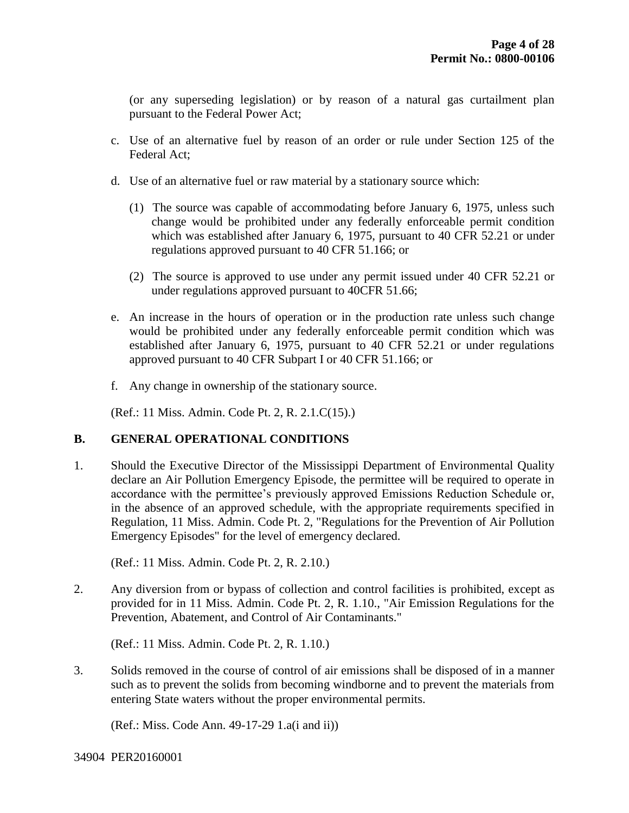(or any superseding legislation) or by reason of a natural gas curtailment plan pursuant to the Federal Power Act;

- c. Use of an alternative fuel by reason of an order or rule under Section 125 of the Federal Act;
- d. Use of an alternative fuel or raw material by a stationary source which:
	- (1) The source was capable of accommodating before January 6, 1975, unless such change would be prohibited under any federally enforceable permit condition which was established after January 6, 1975, pursuant to 40 CFR 52.21 or under regulations approved pursuant to 40 CFR 51.166; or
	- (2) The source is approved to use under any permit issued under 40 CFR 52.21 or under regulations approved pursuant to 40CFR 51.66;
- e. An increase in the hours of operation or in the production rate unless such change would be prohibited under any federally enforceable permit condition which was established after January 6, 1975, pursuant to 40 CFR 52.21 or under regulations approved pursuant to 40 CFR Subpart I or 40 CFR 51.166; or
- f. Any change in ownership of the stationary source.

(Ref.: 11 Miss. Admin. Code Pt. 2, R. 2.1.C(15).)

#### **B. GENERAL OPERATIONAL CONDITIONS**

1. Should the Executive Director of the Mississippi Department of Environmental Quality declare an Air Pollution Emergency Episode, the permittee will be required to operate in accordance with the permittee's previously approved Emissions Reduction Schedule or, in the absence of an approved schedule, with the appropriate requirements specified in Regulation, 11 Miss. Admin. Code Pt. 2, "Regulations for the Prevention of Air Pollution Emergency Episodes" for the level of emergency declared.

(Ref.: 11 Miss. Admin. Code Pt. 2, R. 2.10.)

2. Any diversion from or bypass of collection and control facilities is prohibited, except as provided for in 11 Miss. Admin. Code Pt. 2, R. 1.10., "Air Emission Regulations for the Prevention, Abatement, and Control of Air Contaminants."

(Ref.: 11 Miss. Admin. Code Pt. 2, R. 1.10.)

3. Solids removed in the course of control of air emissions shall be disposed of in a manner such as to prevent the solids from becoming windborne and to prevent the materials from entering State waters without the proper environmental permits.

(Ref.: Miss. Code Ann. 49-17-29 1.a(i and ii))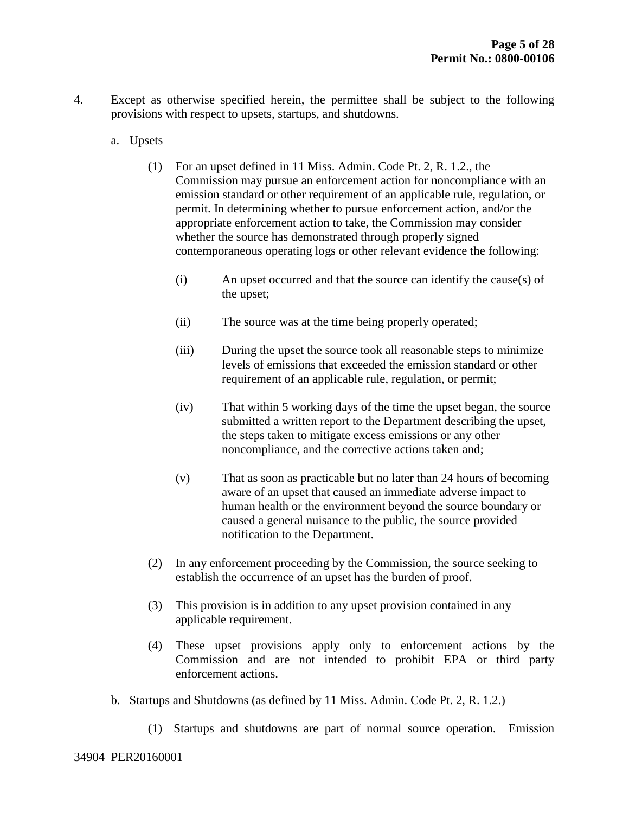- 4. Except as otherwise specified herein, the permittee shall be subject to the following provisions with respect to upsets, startups, and shutdowns.
	- a. Upsets
		- (1) For an upset defined in 11 Miss. Admin. Code Pt. 2, R. 1.2., the Commission may pursue an enforcement action for noncompliance with an emission standard or other requirement of an applicable rule, regulation, or permit. In determining whether to pursue enforcement action, and/or the appropriate enforcement action to take, the Commission may consider whether the source has demonstrated through properly signed contemporaneous operating logs or other relevant evidence the following:
			- (i) An upset occurred and that the source can identify the cause(s) of the upset;
			- (ii) The source was at the time being properly operated;
			- (iii) During the upset the source took all reasonable steps to minimize levels of emissions that exceeded the emission standard or other requirement of an applicable rule, regulation, or permit;
			- (iv) That within 5 working days of the time the upset began, the source submitted a written report to the Department describing the upset, the steps taken to mitigate excess emissions or any other noncompliance, and the corrective actions taken and;
			- (v) That as soon as practicable but no later than 24 hours of becoming aware of an upset that caused an immediate adverse impact to human health or the environment beyond the source boundary or caused a general nuisance to the public, the source provided notification to the Department.
		- (2) In any enforcement proceeding by the Commission, the source seeking to establish the occurrence of an upset has the burden of proof.
		- (3) This provision is in addition to any upset provision contained in any applicable requirement.
		- (4) These upset provisions apply only to enforcement actions by the Commission and are not intended to prohibit EPA or third party enforcement actions.
	- b. Startups and Shutdowns (as defined by 11 Miss. Admin. Code Pt. 2, R. 1.2.)
		- (1) Startups and shutdowns are part of normal source operation. Emission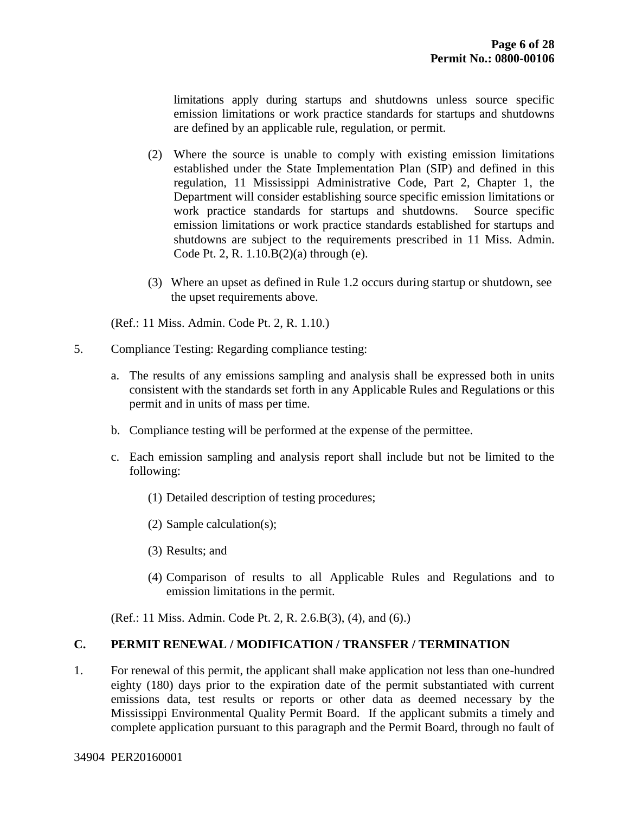limitations apply during startups and shutdowns unless source specific emission limitations or work practice standards for startups and shutdowns are defined by an applicable rule, regulation, or permit.

- (2) Where the source is unable to comply with existing emission limitations established under the State Implementation Plan (SIP) and defined in this regulation, 11 Mississippi Administrative Code, Part 2, Chapter 1, the Department will consider establishing source specific emission limitations or work practice standards for startups and shutdowns. Source specific emission limitations or work practice standards established for startups and shutdowns are subject to the requirements prescribed in 11 Miss. Admin. Code Pt. 2, R. 1.10.B(2)(a) through (e).
- (3) Where an upset as defined in Rule 1.2 occurs during startup or shutdown, see the upset requirements above.

(Ref.: 11 Miss. Admin. Code Pt. 2, R. 1.10.)

- 5. Compliance Testing: Regarding compliance testing:
	- a. The results of any emissions sampling and analysis shall be expressed both in units consistent with the standards set forth in any Applicable Rules and Regulations or this permit and in units of mass per time.
	- b. Compliance testing will be performed at the expense of the permittee.
	- c. Each emission sampling and analysis report shall include but not be limited to the following:
		- (1) Detailed description of testing procedures;
		- (2) Sample calculation(s);
		- (3) Results; and
		- (4) Comparison of results to all Applicable Rules and Regulations and to emission limitations in the permit.

(Ref.: 11 Miss. Admin. Code Pt. 2, R. 2.6.B(3), (4), and (6).)

#### **C. PERMIT RENEWAL / MODIFICATION / TRANSFER / TERMINATION**

1. For renewal of this permit, the applicant shall make application not less than one-hundred eighty (180) days prior to the expiration date of the permit substantiated with current emissions data, test results or reports or other data as deemed necessary by the Mississippi Environmental Quality Permit Board. If the applicant submits a timely and complete application pursuant to this paragraph and the Permit Board, through no fault of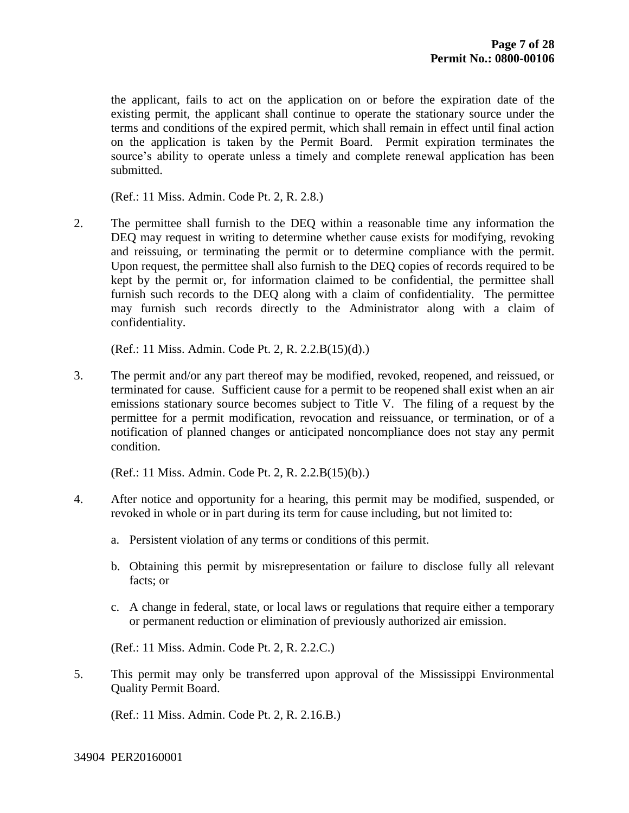the applicant, fails to act on the application on or before the expiration date of the existing permit, the applicant shall continue to operate the stationary source under the terms and conditions of the expired permit, which shall remain in effect until final action on the application is taken by the Permit Board. Permit expiration terminates the source's ability to operate unless a timely and complete renewal application has been submitted.

(Ref.: 11 Miss. Admin. Code Pt. 2, R. 2.8.)

2. The permittee shall furnish to the DEQ within a reasonable time any information the DEQ may request in writing to determine whether cause exists for modifying, revoking and reissuing, or terminating the permit or to determine compliance with the permit. Upon request, the permittee shall also furnish to the DEQ copies of records required to be kept by the permit or, for information claimed to be confidential, the permittee shall furnish such records to the DEQ along with a claim of confidentiality. The permittee may furnish such records directly to the Administrator along with a claim of confidentiality.

(Ref.: 11 Miss. Admin. Code Pt. 2, R. 2.2.B(15)(d).)

3. The permit and/or any part thereof may be modified, revoked, reopened, and reissued, or terminated for cause. Sufficient cause for a permit to be reopened shall exist when an air emissions stationary source becomes subject to Title V. The filing of a request by the permittee for a permit modification, revocation and reissuance, or termination, or of a notification of planned changes or anticipated noncompliance does not stay any permit condition.

(Ref.: 11 Miss. Admin. Code Pt. 2, R. 2.2.B(15)(b).)

- 4. After notice and opportunity for a hearing, this permit may be modified, suspended, or revoked in whole or in part during its term for cause including, but not limited to:
	- a. Persistent violation of any terms or conditions of this permit.
	- b. Obtaining this permit by misrepresentation or failure to disclose fully all relevant facts; or
	- c. A change in federal, state, or local laws or regulations that require either a temporary or permanent reduction or elimination of previously authorized air emission.

(Ref.: 11 Miss. Admin. Code Pt. 2, R. 2.2.C.)

5. This permit may only be transferred upon approval of the Mississippi Environmental Quality Permit Board.

(Ref.: 11 Miss. Admin. Code Pt. 2, R. 2.16.B.)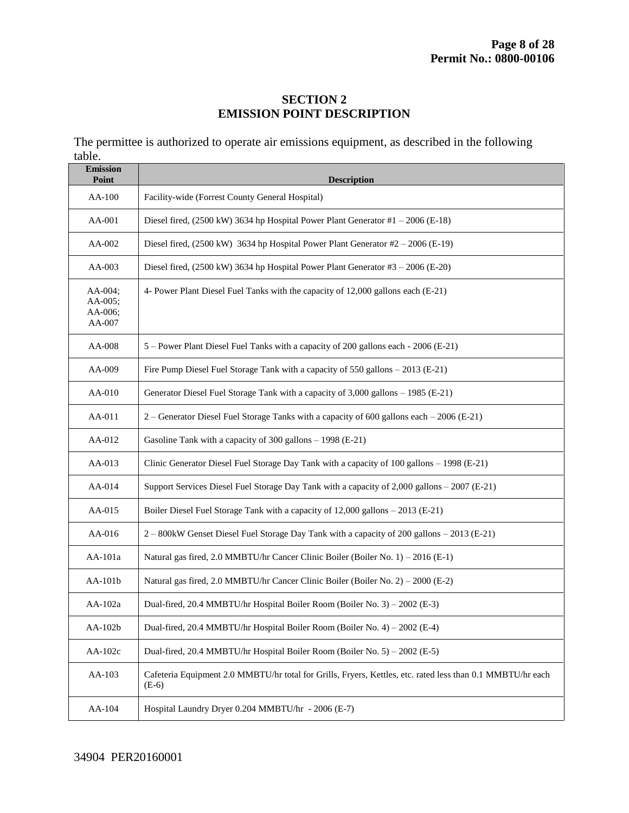#### **SECTION 2 EMISSION POINT DESCRIPTION**

The permittee is authorized to operate air emissions equipment, as described in the following table.

| <b>Emission</b><br>Point                | <b>Description</b>                                                                                                    |
|-----------------------------------------|-----------------------------------------------------------------------------------------------------------------------|
| AA-100                                  | Facility-wide (Forrest County General Hospital)                                                                       |
| AA-001                                  | Diesel fired, $(2500 \text{ kW})$ 3634 hp Hospital Power Plant Generator #1 - 2006 (E-18)                             |
| AA-002                                  | Diesel fired, $(2500 \text{ kW})$ 3634 hp Hospital Power Plant Generator #2 - 2006 (E-19)                             |
| AA-003                                  | Diesel fired, (2500 kW) 3634 hp Hospital Power Plant Generator #3 - 2006 (E-20)                                       |
| AA-004;<br>AA-005;<br>AA-006;<br>AA-007 | 4- Power Plant Diesel Fuel Tanks with the capacity of 12,000 gallons each (E-21)                                      |
| AA-008                                  | 5 - Power Plant Diesel Fuel Tanks with a capacity of 200 gallons each - 2006 (E-21)                                   |
| AA-009                                  | Fire Pump Diesel Fuel Storage Tank with a capacity of 550 gallons - 2013 (E-21)                                       |
| AA-010                                  | Generator Diesel Fuel Storage Tank with a capacity of 3,000 gallons - 1985 (E-21)                                     |
| AA-011                                  | 2 - Generator Diesel Fuel Storage Tanks with a capacity of 600 gallons each - 2006 (E-21)                             |
| AA-012                                  | Gasoline Tank with a capacity of $300$ gallons $- 1998$ (E-21)                                                        |
| AA-013                                  | Clinic Generator Diesel Fuel Storage Day Tank with a capacity of 100 gallons - 1998 (E-21)                            |
| AA-014                                  | Support Services Diesel Fuel Storage Day Tank with a capacity of 2,000 gallons - 2007 (E-21)                          |
| AA-015                                  | Boiler Diesel Fuel Storage Tank with a capacity of 12,000 gallons - 2013 (E-21)                                       |
| AA-016                                  | 2 – 800kW Genset Diesel Fuel Storage Day Tank with a capacity of 200 gallons – 2013 (E-21)                            |
| AA-101a                                 | Natural gas fired, 2.0 MMBTU/hr Cancer Clinic Boiler (Boiler No. 1) – 2016 (E-1)                                      |
| AA-101b                                 | Natural gas fired, 2.0 MMBTU/hr Cancer Clinic Boiler (Boiler No. 2) – 2000 (E-2)                                      |
| AA-102a                                 | Dual-fired, 20.4 MMBTU/hr Hospital Boiler Room (Boiler No. 3) – 2002 (E-3)                                            |
| AA-102b                                 | Dual-fired, 20.4 MMBTU/hr Hospital Boiler Room (Boiler No. 4) – 2002 (E-4)                                            |
| AA-102c                                 | Dual-fired, 20.4 MMBTU/hr Hospital Boiler Room (Boiler No. 5) – 2002 (E-5)                                            |
| AA-103                                  | Cafeteria Equipment 2.0 MMBTU/hr total for Grills, Fryers, Kettles, etc. rated less than 0.1 MMBTU/hr each<br>$(E-6)$ |
| AA-104                                  | Hospital Laundry Dryer 0.204 MMBTU/hr - 2006 (E-7)                                                                    |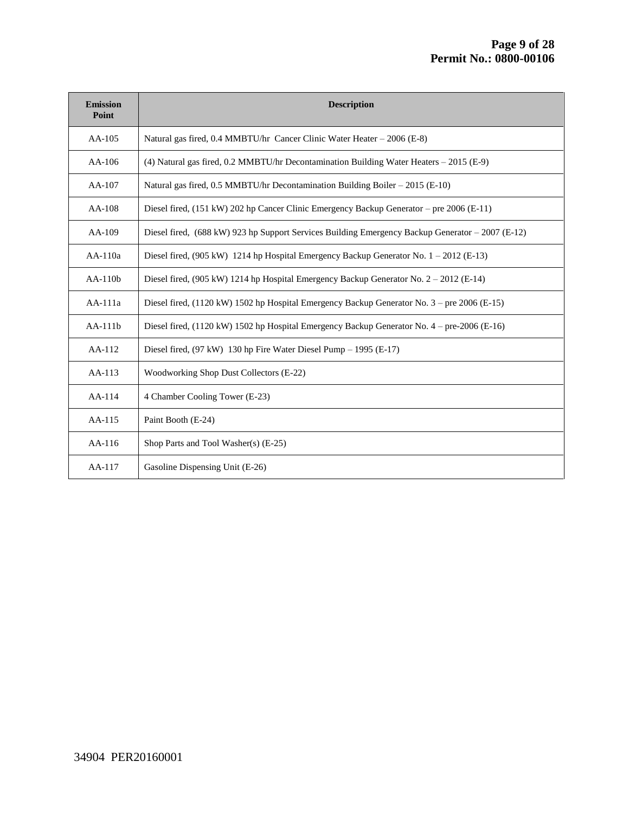| <b>Emission</b><br>Point | <b>Description</b>                                                                               |
|--------------------------|--------------------------------------------------------------------------------------------------|
| $AA-105$                 | Natural gas fired, 0.4 MMBTU/hr Cancer Clinic Water Heater – 2006 (E-8)                          |
| $AA-106$                 | (4) Natural gas fired, 0.2 MMBTU/hr Decontamination Building Water Heaters - 2015 (E-9)          |
| AA-107                   | Natural gas fired, 0.5 MMBTU/hr Decontamination Building Boiler – 2015 (E-10)                    |
| $AA-108$                 | Diesel fired, (151 kW) 202 hp Cancer Clinic Emergency Backup Generator – pre 2006 (E-11)         |
| AA-109                   | Diesel fired, (688 kW) 923 hp Support Services Building Emergency Backup Generator - 2007 (E-12) |
| $AA-110a$                | Diesel fired, (905 kW) 1214 hp Hospital Emergency Backup Generator No. $1 - 2012$ (E-13)         |
| $AA-110b$                | Diesel fired, (905 kW) 1214 hp Hospital Emergency Backup Generator No. $2 - 2012$ (E-14)         |
| AA-111a                  | Diesel fired, (1120 kW) 1502 hp Hospital Emergency Backup Generator No. 3 – pre 2006 (E-15)      |
| $AA-111b$                | Diesel fired, (1120 kW) 1502 hp Hospital Emergency Backup Generator No. 4 – pre-2006 (E-16)      |
| AA-112                   | Diesel fired, $(97 \text{ kW})$ 130 hp Fire Water Diesel Pump – 1995 (E-17)                      |
| AA-113                   | Woodworking Shop Dust Collectors (E-22)                                                          |
| $AA-114$                 | 4 Chamber Cooling Tower (E-23)                                                                   |
| AA-115                   | Paint Booth (E-24)                                                                               |
| $AA-116$                 | Shop Parts and Tool Washer(s) (E-25)                                                             |
| AA-117                   | Gasoline Dispensing Unit (E-26)                                                                  |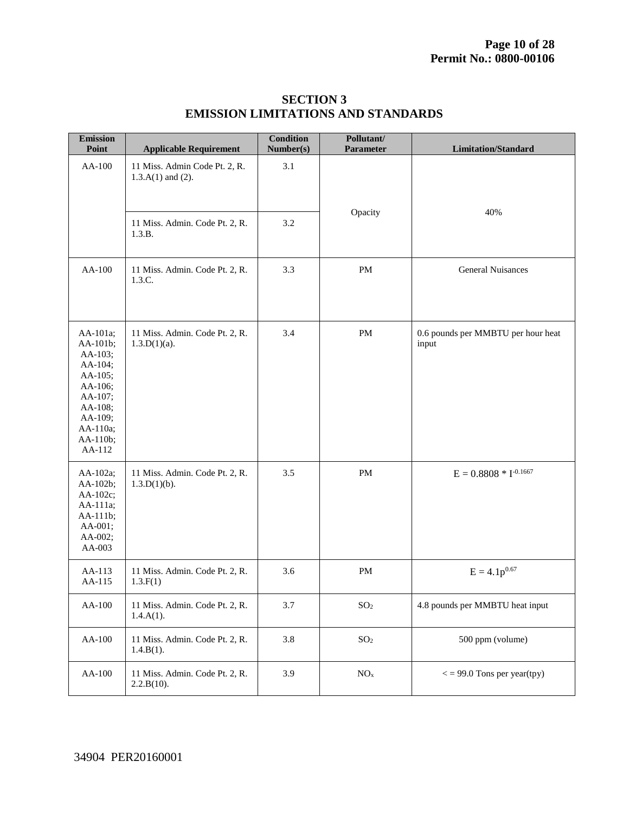| <b>Emission</b><br>Point                                                                                                            | <b>Applicable Requirement</b>                           | <b>Condition</b><br>Number(s) | Pollutant/<br>Parameter | <b>Limitation/Standard</b>                  |
|-------------------------------------------------------------------------------------------------------------------------------------|---------------------------------------------------------|-------------------------------|-------------------------|---------------------------------------------|
| AA-100                                                                                                                              | 11 Miss. Admin Code Pt. 2, R.<br>$1.3.A(1)$ and $(2)$ . | 3.1                           |                         |                                             |
|                                                                                                                                     | 11 Miss. Admin. Code Pt. 2, R.<br>1.3.B.                | 3.2                           | Opacity                 | 40%                                         |
| AA-100                                                                                                                              | 11 Miss. Admin. Code Pt. 2, R.<br>1.3.C.                | 3.3                           | $\mathbf{PM}$           | <b>General Nuisances</b>                    |
| AA-101a;<br>AA-101b;<br>AA-103;<br>AA-104;<br>AA-105;<br>AA-106;<br>AA-107;<br>AA-108;<br>AA-109;<br>AA-110a;<br>AA-110b;<br>AA-112 | 11 Miss. Admin. Code Pt. 2, R.<br>$1.3.D(1)(a)$ .       | 3.4                           | PM                      | 0.6 pounds per MMBTU per hour heat<br>input |
| AA-102a;<br>AA-102b;<br>AA-102c;<br>AA-111a;<br>AA-111b;<br>AA-001;<br>AA-002;<br>AA-003                                            | 11 Miss. Admin. Code Pt. 2, R.<br>$1.3.D(1)(b)$ .       | 3.5                           | PM                      | $E = 0.8808 * I^{-0.1667}$                  |
| AA-113<br>AA-115                                                                                                                    | 11 Miss. Admin. Code Pt. 2, R.<br>1.3.F(1)              | 3.6                           | PM                      | $E = 4.1p^{0.67}$                           |
| AA-100                                                                                                                              | 11 Miss. Admin. Code Pt. 2, R.<br>$1.4.A(1)$ .          | 3.7                           | SO <sub>2</sub>         | 4.8 pounds per MMBTU heat input             |
| AA-100                                                                                                                              | 11 Miss. Admin. Code Pt. 2, R.<br>1.4.B(1).             | $3.8\,$                       | SO <sub>2</sub>         | 500 ppm (volume)                            |
| AA-100                                                                                                                              | 11 Miss. Admin. Code Pt. 2, R.<br>2.2.B(10).            | 3.9                           | $\rm NO_x$              | $\epsilon$ = 99.0 Tons per year(tpy)        |

#### **SECTION 3 EMISSION LIMITATIONS AND STANDARDS**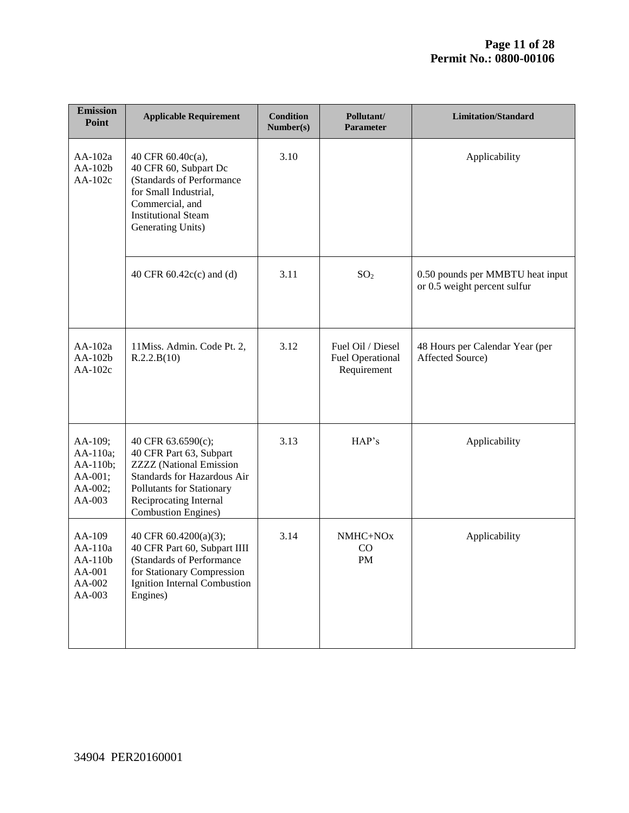| <b>Emission</b><br>Point                                        | <b>Applicable Requirement</b>                                                                                                                                                                        | <b>Condition</b><br>Number(s) | Pollutant/<br><b>Parameter</b>                              | <b>Limitation/Standard</b>                                       |
|-----------------------------------------------------------------|------------------------------------------------------------------------------------------------------------------------------------------------------------------------------------------------------|-------------------------------|-------------------------------------------------------------|------------------------------------------------------------------|
| $AA-102a$<br>$AA-102b$<br>AA-102c                               | 40 CFR 60.40c(a),<br>40 CFR 60, Subpart Dc<br>(Standards of Performance<br>for Small Industrial,<br>Commercial, and<br><b>Institutional Steam</b><br>Generating Units)                               | 3.10                          |                                                             | Applicability                                                    |
|                                                                 | 40 CFR $60.42c(c)$ and (d)                                                                                                                                                                           | 3.11                          | SO <sub>2</sub>                                             | 0.50 pounds per MMBTU heat input<br>or 0.5 weight percent sulfur |
| AA-102a<br>AA-102b<br>AA-102c                                   | 11Miss. Admin. Code Pt. 2,<br>R.2.2.B(10)                                                                                                                                                            | 3.12                          | Fuel Oil / Diesel<br><b>Fuel Operational</b><br>Requirement | 48 Hours per Calendar Year (per<br>Affected Source)              |
| AA-109;<br>AA-110a;<br>AA-110b;<br>AA-001;<br>AA-002;<br>AA-003 | 40 CFR 63.6590(c);<br>40 CFR Part 63, Subpart<br><b>ZZZZ</b> (National Emission<br>Standards for Hazardous Air<br>Pollutants for Stationary<br>Reciprocating Internal<br><b>Combustion Engines</b> ) | 3.13                          | HAP's                                                       | Applicability                                                    |
| AA-109<br>AA-110a<br>$AA-110b$<br>AA-001<br>AA-002<br>AA-003    | 40 CFR 60.4200(a)(3);<br>40 CFR Part 60, Subpart IIII<br>(Standards of Performance)<br>for Stationary Compression<br>Ignition Internal Combustion<br>Engines)                                        | 3.14                          | NMHC+NOx<br>CO<br><b>PM</b>                                 | Applicability                                                    |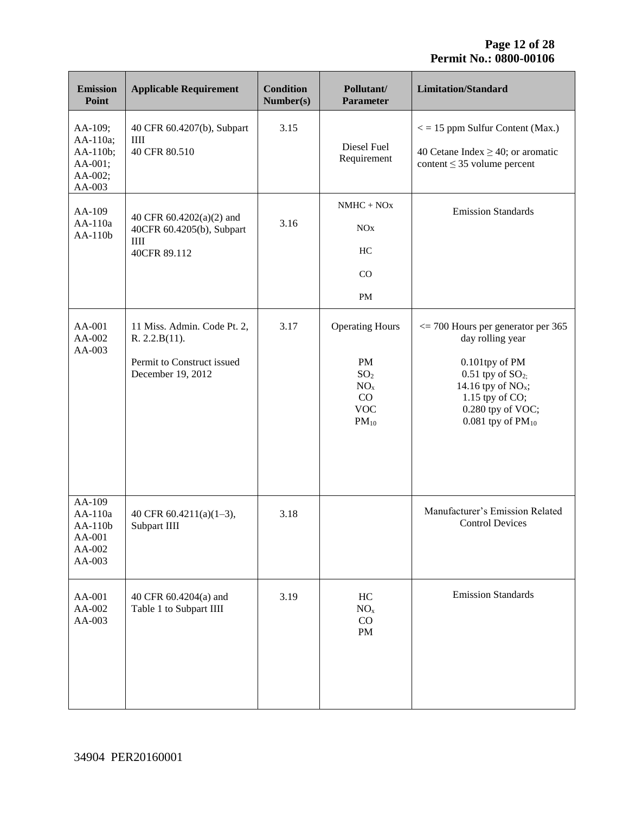| <b>Emission</b><br>Point                                        | <b>Applicable Requirement</b>                                                                   | <b>Condition</b><br>Number(s) | Pollutant/<br><b>Parameter</b>                                                                             | <b>Limitation/Standard</b>                                                                                                                                                                                 |
|-----------------------------------------------------------------|-------------------------------------------------------------------------------------------------|-------------------------------|------------------------------------------------------------------------------------------------------------|------------------------------------------------------------------------------------------------------------------------------------------------------------------------------------------------------------|
| AA-109;<br>AA-110a;<br>AA-110b;<br>AA-001;<br>AA-002;<br>AA-003 | 40 CFR 60.4207(b), Subpart<br>IIII<br>40 CFR 80.510                                             | 3.15                          | Diesel Fuel<br>Requirement                                                                                 | $\epsilon$ = 15 ppm Sulfur Content (Max.)<br>40 Cetane Index $\geq$ 40; or aromatic<br>content $\leq$ 35 volume percent                                                                                    |
| AA-109<br>$AA-110a$<br>$AA-110b$                                | 40 CFR 60.4202(a)(2) and<br>40CFR 60.4205(b), Subpart<br>III<br>40CFR 89.112                    | 3.16                          | $NMHC + NOx$<br><b>NO<sub>x</sub></b><br>HC<br>CO<br>PM                                                    | <b>Emission Standards</b>                                                                                                                                                                                  |
| AA-001<br>AA-002<br>AA-003                                      | 11 Miss. Admin. Code Pt. 2,<br>R. 2.2.B(11).<br>Permit to Construct issued<br>December 19, 2012 | 3.17                          | <b>Operating Hours</b><br><b>PM</b><br>SO <sub>2</sub><br>NO <sub>x</sub><br>CO<br><b>VOC</b><br>$PM_{10}$ | $\epsilon$ = 700 Hours per generator per 365<br>day rolling year<br>0.101tpy of PM<br>$0.51$ tpy of $SO2$ ;<br>14.16 tpy of $NOx$ ;<br>1.15 tpy of $CO$ ;<br>0.280 tpy of VOC;<br>$0.081$ tpy of $PM_{10}$ |
| AA-109<br>AA-110a<br>$AA-110b$<br>AA-001<br>AA-002<br>AA-003    | 40 CFR 60.4211(a)(1-3),<br>Subpart IIII                                                         | 3.18                          |                                                                                                            | Manufacturer's Emission Related<br><b>Control Devices</b>                                                                                                                                                  |
| AA-001<br>AA-002<br>AA-003                                      | 40 CFR 60.4204(a) and<br>Table 1 to Subpart IIII                                                | 3.19                          | HC<br>NO <sub>x</sub><br>CO<br>PM                                                                          | <b>Emission Standards</b>                                                                                                                                                                                  |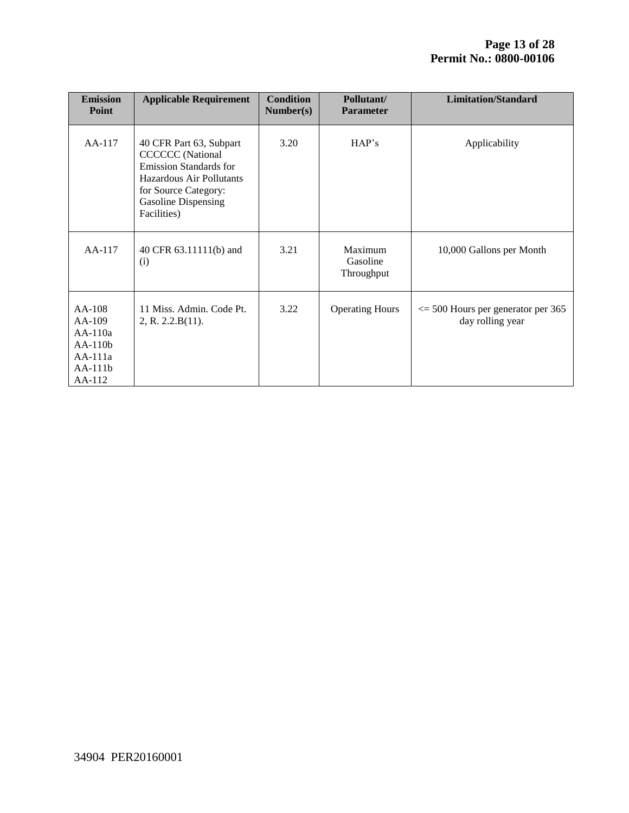| <b>Emission</b><br>Point                                                             | <b>Applicable Requirement</b>                                                                                                                                                 | <b>Condition</b><br>Number(s) | Pollutant/<br><b>Parameter</b>    | <b>Limitation/Standard</b>                                       |
|--------------------------------------------------------------------------------------|-------------------------------------------------------------------------------------------------------------------------------------------------------------------------------|-------------------------------|-----------------------------------|------------------------------------------------------------------|
| $AA-117$                                                                             | 40 CFR Part 63, Subpart<br><b>CCCCCC</b> (National<br><b>Emission Standards for</b><br>Hazardous Air Pollutants<br>for Source Category:<br>Gasoline Dispensing<br>Facilities) | 3.20                          | HAP's                             | Applicability                                                    |
| $AA-117$                                                                             | 40 CFR 63.11111(b) and<br>(i)                                                                                                                                                 | 3.21                          | Maximum<br>Gasoline<br>Throughput | 10,000 Gallons per Month                                         |
| $AA-108$<br>$AA-109$<br>$AA-110a$<br>$AA-110b$<br>$AA-111a$<br>$AA-111b$<br>$AA-112$ | 11 Miss. Admin. Code Pt.<br>2, R. 2.2.B(11).                                                                                                                                  | 3.22                          | <b>Operating Hours</b>            | $\epsilon$ = 500 Hours per generator per 365<br>day rolling year |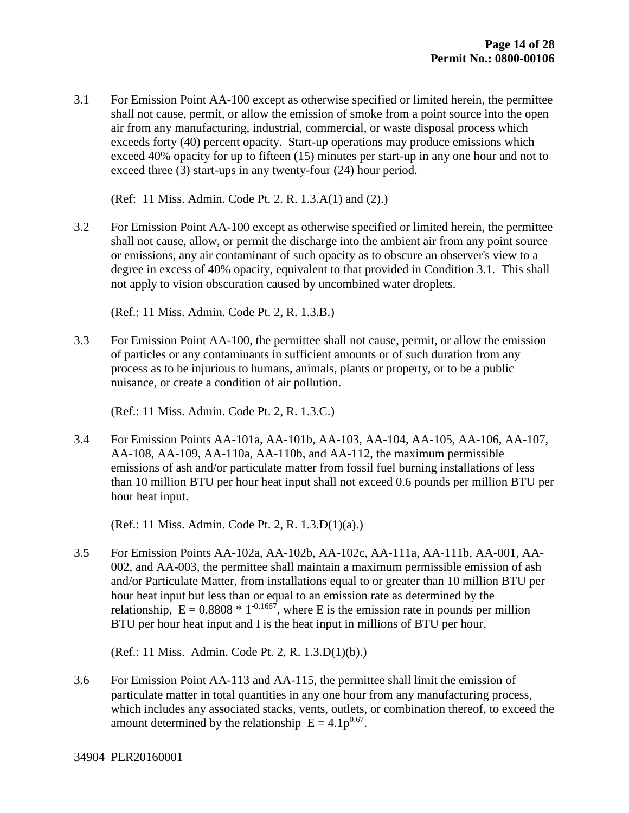3.1 For Emission Point AA-100 except as otherwise specified or limited herein, the permittee shall not cause, permit, or allow the emission of smoke from a point source into the open air from any manufacturing, industrial, commercial, or waste disposal process which exceeds forty (40) percent opacity. Start-up operations may produce emissions which exceed 40% opacity for up to fifteen (15) minutes per start-up in any one hour and not to exceed three (3) start-ups in any twenty-four (24) hour period.

(Ref: 11 Miss. Admin. Code Pt. 2. R. 1.3.A(1) and (2).)

3.2 For Emission Point AA-100 except as otherwise specified or limited herein, the permittee shall not cause, allow, or permit the discharge into the ambient air from any point source or emissions, any air contaminant of such opacity as to obscure an observer's view to a degree in excess of 40% opacity, equivalent to that provided in Condition 3.1. This shall not apply to vision obscuration caused by uncombined water droplets.

(Ref.: 11 Miss. Admin. Code Pt. 2, R. 1.3.B.)

3.3 For Emission Point AA-100, the permittee shall not cause, permit, or allow the emission of particles or any contaminants in sufficient amounts or of such duration from any process as to be injurious to humans, animals, plants or property, or to be a public nuisance, or create a condition of air pollution.

(Ref.: 11 Miss. Admin. Code Pt. 2, R. 1.3.C.)

3.4 For Emission Points AA-101a, AA-101b, AA-103, AA-104, AA-105, AA-106, AA-107, AA-108, AA-109, AA-110a, AA-110b, and AA-112, the maximum permissible emissions of ash and/or particulate matter from fossil fuel burning installations of less than 10 million BTU per hour heat input shall not exceed 0.6 pounds per million BTU per hour heat input.

(Ref.: 11 Miss. Admin. Code Pt. 2, R. 1.3.D(1)(a).)

3.5 For Emission Points AA-102a, AA-102b, AA-102c, AA-111a, AA-111b, AA-001, AA-002, and AA-003, the permittee shall maintain a maximum permissible emission of ash and/or Particulate Matter, from installations equal to or greater than 10 million BTU per hour heat input but less than or equal to an emission rate as determined by the relationship,  $E = 0.8808 * 1^{-0.1667}$ , where E is the emission rate in pounds per million BTU per hour heat input and I is the heat input in millions of BTU per hour.

(Ref.: 11 Miss. Admin. Code Pt. 2, R. 1.3.D(1)(b).)

3.6 For Emission Point AA-113 and AA-115, the permittee shall limit the emission of particulate matter in total quantities in any one hour from any manufacturing process, which includes any associated stacks, vents, outlets, or combination thereof, to exceed the amount determined by the relationship  $E = 4.1p^{0.67}$ .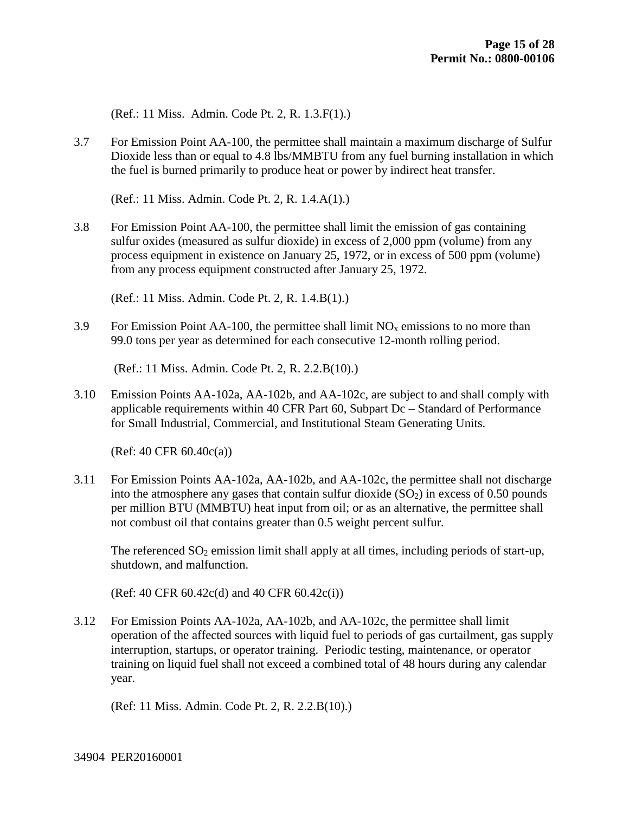(Ref.: 11 Miss. Admin. Code Pt. 2, R. 1.3.F(1).)

3.7 For Emission Point AA-100, the permittee shall maintain a maximum discharge of Sulfur Dioxide less than or equal to 4.8 lbs/MMBTU from any fuel burning installation in which the fuel is burned primarily to produce heat or power by indirect heat transfer.

(Ref.: 11 Miss. Admin. Code Pt. 2, R. 1.4.A(1).)

3.8 For Emission Point AA-100, the permittee shall limit the emission of gas containing sulfur oxides (measured as sulfur dioxide) in excess of 2,000 ppm (volume) from any process equipment in existence on January 25, 1972, or in excess of 500 ppm (volume) from any process equipment constructed after January 25, 1972.

(Ref.: 11 Miss. Admin. Code Pt. 2, R. 1.4.B(1).)

3.9 For Emission Point AA-100, the permittee shall limit  $NO<sub>x</sub>$  emissions to no more than 99.0 tons per year as determined for each consecutive 12-month rolling period.

(Ref.: 11 Miss. Admin. Code Pt. 2, R. 2.2.B(10).)

3.10 Emission Points AA-102a, AA-102b, and AA-102c, are subject to and shall comply with applicable requirements within 40 CFR Part 60, Subpart Dc – Standard of Performance for Small Industrial, Commercial, and Institutional Steam Generating Units.

(Ref: 40 CFR 60.40c(a))

3.11 For Emission Points AA-102a, AA-102b, and AA-102c, the permittee shall not discharge into the atmosphere any gases that contain sulfur dioxide  $(SO<sub>2</sub>)$  in excess of 0.50 pounds per million BTU (MMBTU) heat input from oil; or as an alternative, the permittee shall not combust oil that contains greater than 0.5 weight percent sulfur.

The referenced  $SO_2$  emission limit shall apply at all times, including periods of start-up, shutdown, and malfunction.

(Ref: 40 CFR 60.42c(d) and 40 CFR 60.42c(i))

3.12 For Emission Points AA-102a, AA-102b, and AA-102c, the permittee shall limit operation of the affected sources with liquid fuel to periods of gas curtailment, gas supply interruption, startups, or operator training. Periodic testing, maintenance, or operator training on liquid fuel shall not exceed a combined total of 48 hours during any calendar year.

(Ref: 11 Miss. Admin. Code Pt. 2, R. 2.2.B(10).)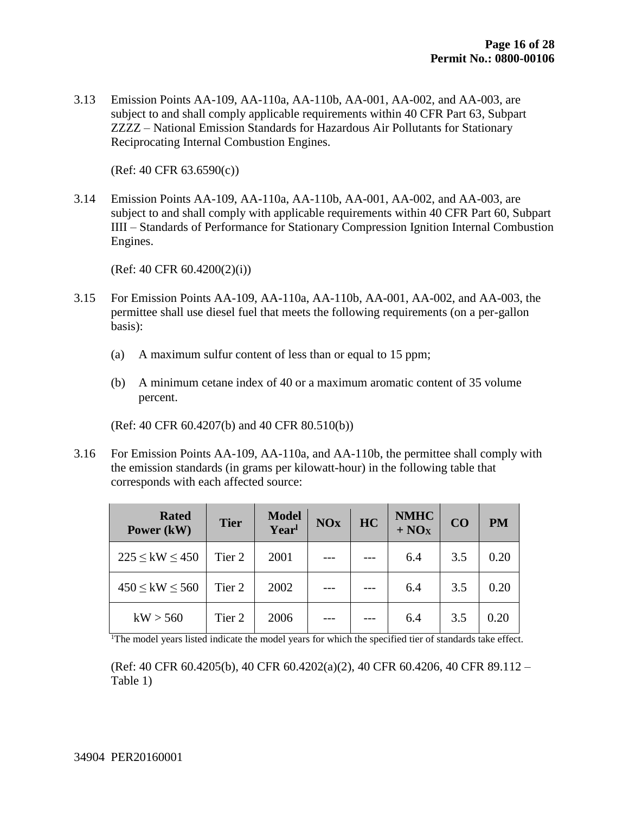3.13 Emission Points AA-109, AA-110a, AA-110b, AA-001, AA-002, and AA-003, are subject to and shall comply applicable requirements within 40 CFR Part 63, Subpart ZZZZ – National Emission Standards for Hazardous Air Pollutants for Stationary Reciprocating Internal Combustion Engines.

(Ref: 40 CFR 63.6590(c))

3.14 Emission Points AA-109, AA-110a, AA-110b, AA-001, AA-002, and AA-003, are subject to and shall comply with applicable requirements within 40 CFR Part 60, Subpart IIII – Standards of Performance for Stationary Compression Ignition Internal Combustion Engines.

(Ref: 40 CFR 60.4200(2)(i))

- 3.15 For Emission Points AA-109, AA-110a, AA-110b, AA-001, AA-002, and AA-003, the permittee shall use diesel fuel that meets the following requirements (on a per-gallon basis):
	- (a) A maximum sulfur content of less than or equal to 15 ppm;
	- (b) A minimum cetane index of 40 or a maximum aromatic content of 35 volume percent.

(Ref: 40 CFR 60.4207(b) and 40 CFR 80.510(b))

3.16 For Emission Points AA-109, AA-110a, and AA-110b, the permittee shall comply with the emission standards (in grams per kilowatt-hour) in the following table that corresponds with each affected source:

| <b>Rated</b><br>Power (kW) | <b>Tier</b> | <b>Model</b><br>Yearl | <b>NOx</b> | HC | <b>NMHC</b><br>$+ NOx$ | CO  | <b>PM</b> |
|----------------------------|-------------|-----------------------|------------|----|------------------------|-----|-----------|
| $225 \leq$ kW $\leq 450$   | Tier 2      | 2001                  |            |    | 6.4                    | 3.5 | 0.20      |
| $450 \leq$ kW $\leq 560$   | Tier 2      | 2002                  |            |    | 6.4                    | 3.5 | 0.20      |
| kW > 560                   | Tier 2      | 2006                  |            |    | 6.4                    | 3.5 | 0.20      |

<sup>1</sup>The model years listed indicate the model years for which the specified tier of standards take effect.

(Ref: 40 CFR 60.4205(b), 40 CFR 60.4202(a)(2), 40 CFR 60.4206, 40 CFR 89.112 – Table 1)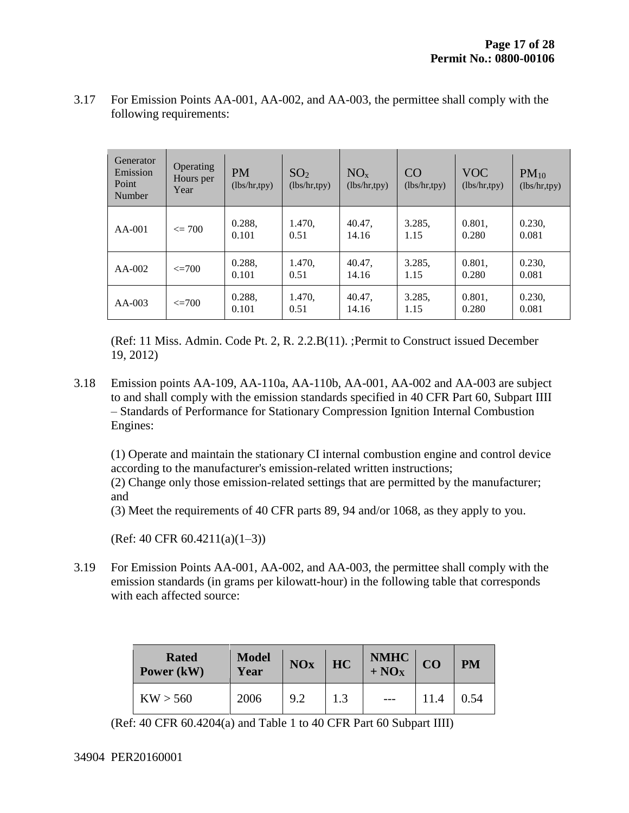| Generator<br>Emission<br>Point<br>Number | Operating<br>Hours per<br>Year | <b>PM</b><br>(lbs/hr, typy) | SO <sub>2</sub><br>(lbs/hr, typy) | NO <sub>x</sub><br>(lbs/hr, typy) | CO<br>(lbs/hr, typy) | <b>VOC</b><br>(lbs/hr, typy) | $PM_{10}$<br>(lbs/hr, typy) |
|------------------------------------------|--------------------------------|-----------------------------|-----------------------------------|-----------------------------------|----------------------|------------------------------|-----------------------------|
| $AA-001$                                 | $\epsilon = 700$               | 0.288,<br>0.101             | 1.470,<br>0.51                    | 40.47,<br>14.16                   | 3.285,<br>1.15       | 0.801,<br>0.280              | 0.230,<br>0.081             |
| $AA-002$                                 | $\leq$ 700                     | 0.288,<br>0.101             | 1.470,<br>0.51                    | 40.47,<br>14.16                   | 3.285,<br>1.15       | 0.801,<br>0.280              | 0.230,<br>0.081             |
| $AA-003$                                 | $\leq$ 700                     | 0.288,<br>0.101             | 1.470,<br>0.51                    | 40.47,<br>14.16                   | 3.285,<br>1.15       | 0.801,<br>0.280              | 0.230,<br>0.081             |

3.17 For Emission Points AA-001, AA-002, and AA-003, the permittee shall comply with the following requirements:

(Ref: 11 Miss. Admin. Code Pt. 2, R. 2.2.B(11). ;Permit to Construct issued December 19, 2012)

3.18 Emission points AA-109, AA-110a, AA-110b, AA-001, AA-002 and AA-003 are subject to and shall comply with the emission standards specified in 40 CFR Part 60, Subpart IIII – Standards of Performance for Stationary Compression Ignition Internal Combustion Engines:

(1) Operate and maintain the stationary CI internal combustion engine and control device according to the manufacturer's emission-related written instructions;

(2) Change only those emission-related settings that are permitted by the manufacturer; and

(3) Meet the requirements of 40 CFR parts 89, 94 and/or 1068, as they apply to you.

 $(Ref: 40 CFR 60.4211(a)(1-3))$ 

3.19 For Emission Points AA-001, AA-002, and AA-003, the permittee shall comply with the emission standards (in grams per kilowatt-hour) in the following table that corresponds with each affected source:

| <b>Rated</b><br>Power (kW) | <b>Model</b><br>Year | <b>NOx</b> | HC  | $NMHC + NOX$ | CO   | <b>PM</b> |
|----------------------------|----------------------|------------|-----|--------------|------|-----------|
| KW > 560                   | 2006                 | 9.2        | 1.3 |              | 11.4 | 0.54      |

(Ref: 40 CFR 60.4204(a) and Table 1 to 40 CFR Part 60 Subpart IIII)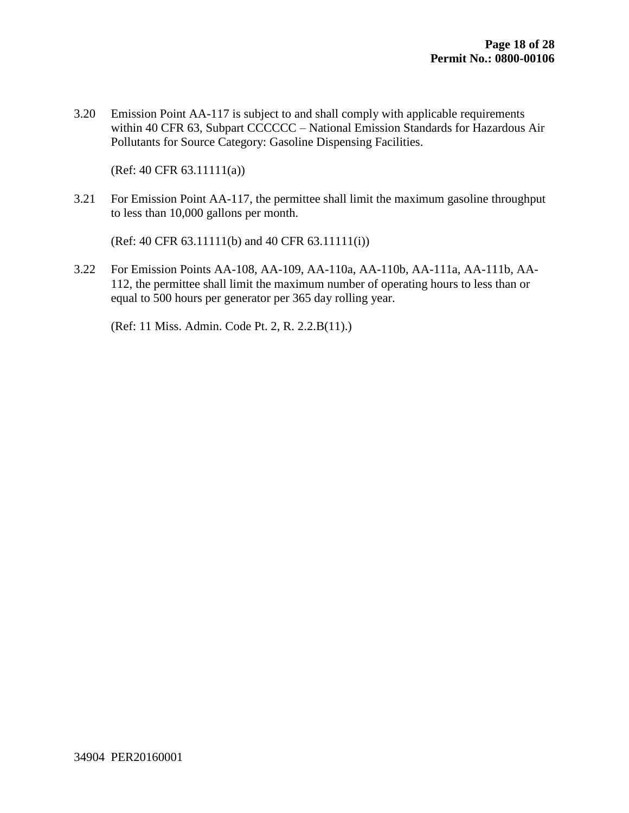3.20 Emission Point AA-117 is subject to and shall comply with applicable requirements within 40 CFR 63, Subpart CCCCCC – National Emission Standards for Hazardous Air Pollutants for Source Category: Gasoline Dispensing Facilities.

(Ref: 40 CFR 63.11111(a))

3.21 For Emission Point AA-117, the permittee shall limit the maximum gasoline throughput to less than 10,000 gallons per month.

(Ref: 40 CFR 63.11111(b) and 40 CFR 63.11111(i))

3.22 For Emission Points AA-108, AA-109, AA-110a, AA-110b, AA-111a, AA-111b, AA-112, the permittee shall limit the maximum number of operating hours to less than or equal to 500 hours per generator per 365 day rolling year.

(Ref: 11 Miss. Admin. Code Pt. 2, R. 2.2.B(11).)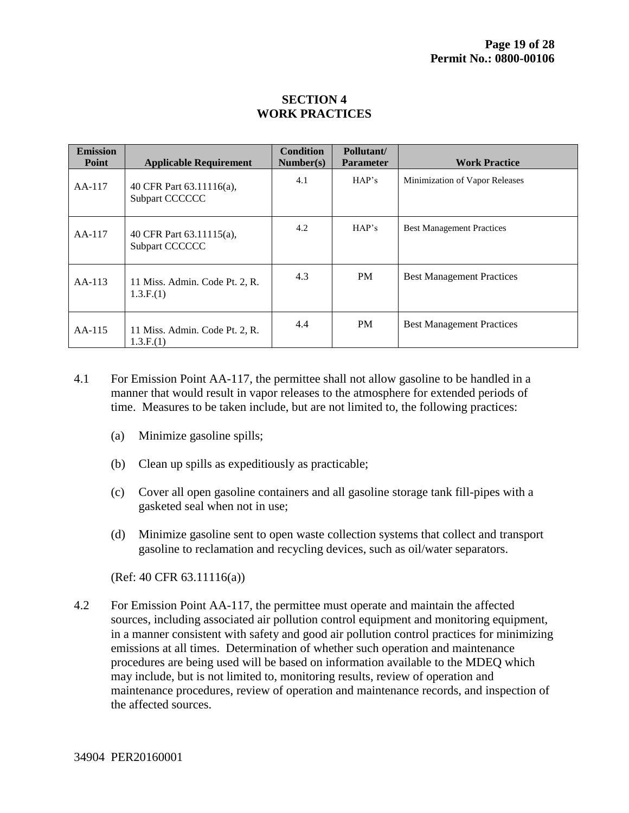#### **SECTION 4 WORK PRACTICES**

| <b>Emission</b><br>Point | <b>Applicable Requirement</b>               | <b>Condition</b><br>Number(s) | Pollutant/<br><b>Parameter</b> | <b>Work Practice</b>             |
|--------------------------|---------------------------------------------|-------------------------------|--------------------------------|----------------------------------|
| $AA-117$                 | 40 CFR Part 63.11116(a),<br>Subpart CCCCCC  | 4.1                           | HAP's                          | Minimization of Vapor Releases   |
| $AA-117$                 | 40 CFR Part 63.11115(a),<br>Subpart CCCCCC  | 4.2                           | HAP's                          | <b>Best Management Practices</b> |
| $AA-113$                 | 11 Miss. Admin. Code Pt. 2, R.<br>1.3.F.(1) | 4.3                           | PM                             | <b>Best Management Practices</b> |
| $AA-115$                 | 11 Miss. Admin. Code Pt. 2, R.<br>1.3.F.(1) | 4.4                           | <b>PM</b>                      | <b>Best Management Practices</b> |

- 4.1 For Emission Point AA-117, the permittee shall not allow gasoline to be handled in a manner that would result in vapor releases to the atmosphere for extended periods of time. Measures to be taken include, but are not limited to, the following practices:
	- (a) Minimize gasoline spills;
	- (b) Clean up spills as expeditiously as practicable;
	- (c) Cover all open gasoline containers and all gasoline storage tank fill-pipes with a gasketed seal when not in use;
	- (d) Minimize gasoline sent to open waste collection systems that collect and transport gasoline to reclamation and recycling devices, such as oil/water separators.

(Ref: 40 CFR 63.11116(a))

4.2 For Emission Point AA-117, the permittee must operate and maintain the affected sources, including associated air pollution control equipment and monitoring equipment, in a manner consistent with safety and good air pollution control practices for minimizing emissions at all times. Determination of whether such operation and maintenance procedures are being used will be based on information available to the MDEQ which may include, but is not limited to, monitoring results, review of operation and maintenance procedures, review of operation and maintenance records, and inspection of the affected sources.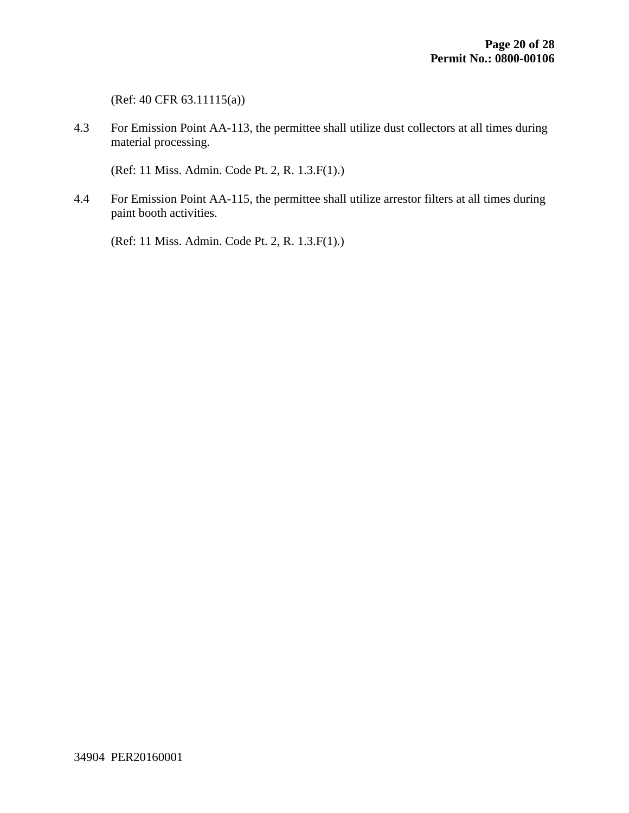(Ref: 40 CFR 63.11115(a))

4.3 For Emission Point AA-113, the permittee shall utilize dust collectors at all times during material processing.

(Ref: 11 Miss. Admin. Code Pt. 2, R. 1.3.F(1).)

4.4 For Emission Point AA-115, the permittee shall utilize arrestor filters at all times during paint booth activities.

(Ref: 11 Miss. Admin. Code Pt. 2, R. 1.3.F(1).)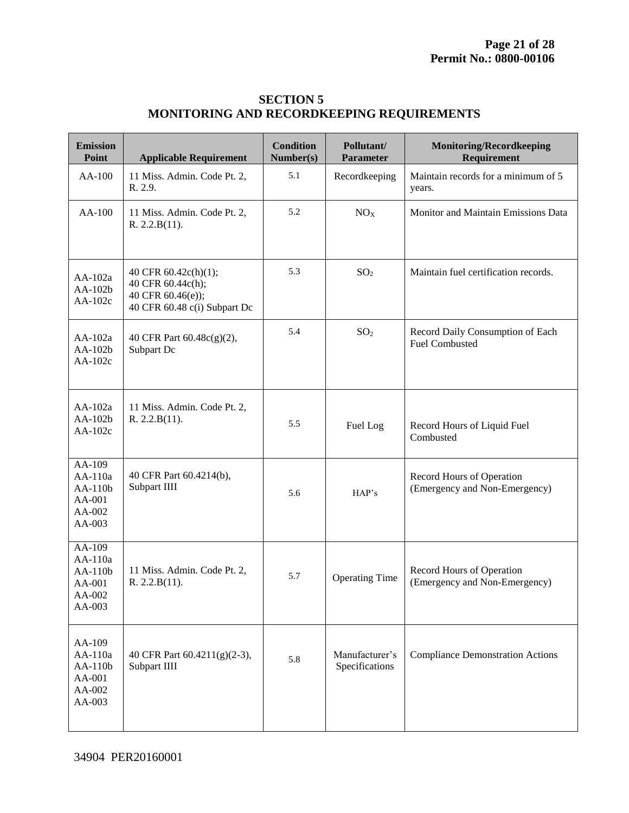| <b>SECTION 5</b>                                 |
|--------------------------------------------------|
| <b>MONITORING AND RECORDKEEPING REQUIREMENTS</b> |

| <b>Emission</b><br>Point                                   | <b>Applicable Requirement</b>                                                                  | <b>Condition</b><br>Number(s) | Pollutant/<br><b>Parameter</b>   | <b>Monitoring/Recordkeeping</b><br>Requirement             |
|------------------------------------------------------------|------------------------------------------------------------------------------------------------|-------------------------------|----------------------------------|------------------------------------------------------------|
| AA-100                                                     | 11 Miss. Admin. Code Pt. 2,<br>R. 2.9.                                                         | 5.1                           | Recordkeeping                    | Maintain records for a minimum of 5<br>years.              |
| AA-100                                                     | 11 Miss. Admin. Code Pt. 2,<br>R. 2.2.B(11).                                                   | 5.2                           | NO <sub>X</sub>                  | Monitor and Maintain Emissions Data                        |
| $AA-102a$<br>AA-102b<br>$AA-102c$                          | 40 CFR 60.42c(h)(1);<br>40 CFR 60.44c(h);<br>40 CFR 60.46(e));<br>40 CFR 60.48 c(i) Subpart Dc | 5.3                           | SO <sub>2</sub>                  | Maintain fuel certification records.                       |
| $AA-102a$<br>AA-102b<br>AA-102c                            | 40 CFR Part 60.48c(g)(2),<br>Subpart Dc                                                        | 5.4                           | SO <sub>2</sub>                  | Record Daily Consumption of Each<br><b>Fuel Combusted</b>  |
| $AA-102a$<br>AA-102b<br>AA-102c                            | 11 Miss. Admin. Code Pt. 2,<br>R. 2.2.B(11).                                                   | 5.5                           | Fuel Log                         | Record Hours of Liquid Fuel<br>Combusted                   |
| AA-109<br>AA-110a<br>AA-110b<br>AA-001<br>AA-002<br>AA-003 | 40 CFR Part 60.4214(b),<br>Subpart IIII                                                        | 5.6                           | HAP's                            | Record Hours of Operation<br>(Emergency and Non-Emergency) |
| AA-109<br>AA-110a<br>AA-110b<br>AA-001<br>AA-002<br>AA-003 | 11 Miss. Admin. Code Pt. 2,<br>R. 2.2.B(11).                                                   | 5.7                           | <b>Operating Time</b>            | Record Hours of Operation<br>(Emergency and Non-Emergency) |
| AA-109<br>AA-110a<br>AA-110b<br>AA-001<br>AA-002<br>AA-003 | 40 CFR Part 60.4211(g)(2-3),<br>Subpart IIII                                                   | 5.8                           | Manufacturer's<br>Specifications | <b>Compliance Demonstration Actions</b>                    |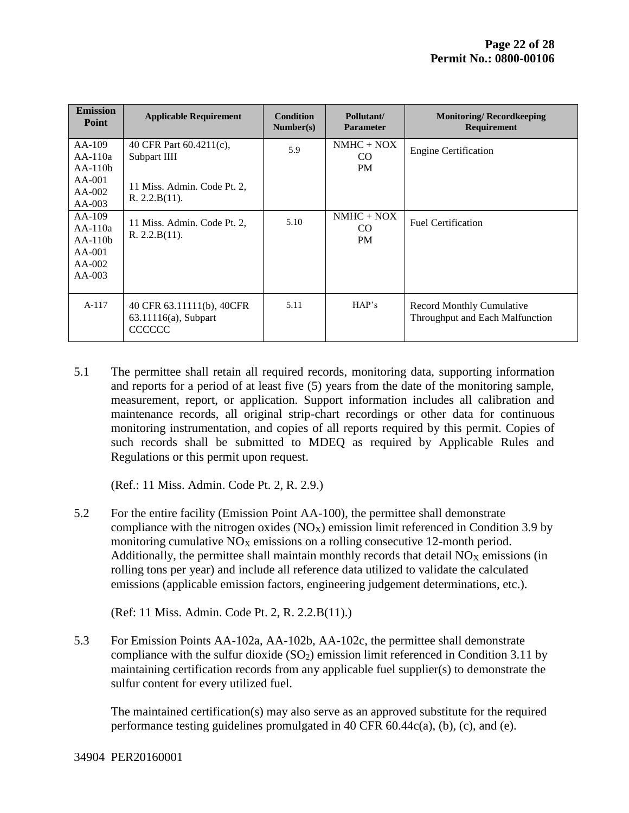| <b>Emission</b><br>Point                                               | <b>Applicable Requirement</b>                                                           | <b>Condition</b><br>Number(s) | Pollutant/<br><b>Parameter</b> | <b>Monitoring/Recordkeeping</b><br><b>Requirement</b>               |
|------------------------------------------------------------------------|-----------------------------------------------------------------------------------------|-------------------------------|--------------------------------|---------------------------------------------------------------------|
| $AA-109$<br>$AA-110a$<br>$AA-110h$<br>$AA-001$<br>$AA-002$<br>$AA-003$ | 40 CFR Part 60.4211(c),<br>Subpart IIII<br>11 Miss. Admin. Code Pt. 2,<br>R. 2.2.B(11). | 5.9                           | $NMHC + NOX$<br>CO.<br>PM      | <b>Engine Certification</b>                                         |
| $AA-109$<br>$AA-110a$<br>$AA-110b$<br>$AA-001$<br>$AA-002$<br>$AA-003$ | 11 Miss. Admin. Code Pt. 2,<br>R. 2.2.B(11).                                            | 5.10                          | $NMHC + NOX$<br>CO.<br>PM      | <b>Fuel Certification</b>                                           |
| $A-117$                                                                | 40 CFR 63.11111(b), 40 CFR<br>63.11116(a), Subpart<br><b>CCCCCC</b>                     | 5.11                          | HAP's                          | <b>Record Monthly Cumulative</b><br>Throughput and Each Malfunction |

5.1 The permittee shall retain all required records, monitoring data, supporting information and reports for a period of at least five (5) years from the date of the monitoring sample, measurement, report, or application. Support information includes all calibration and maintenance records, all original strip-chart recordings or other data for continuous monitoring instrumentation, and copies of all reports required by this permit. Copies of such records shall be submitted to MDEQ as required by Applicable Rules and Regulations or this permit upon request.

(Ref.: 11 Miss. Admin. Code Pt. 2, R. 2.9.)

5.2 For the entire facility (Emission Point AA-100), the permittee shall demonstrate compliance with the nitrogen oxides  $(NO<sub>X</sub>)$  emission limit referenced in Condition 3.9 by monitoring cumulative  $NO<sub>X</sub>$  emissions on a rolling consecutive 12-month period. Additionally, the permittee shall maintain monthly records that detail  $NO<sub>X</sub>$  emissions (in rolling tons per year) and include all reference data utilized to validate the calculated emissions (applicable emission factors, engineering judgement determinations, etc.).

(Ref: 11 Miss. Admin. Code Pt. 2, R. 2.2.B(11).)

5.3 For Emission Points AA-102a, AA-102b, AA-102c, the permittee shall demonstrate compliance with the sulfur dioxide  $(SO<sub>2</sub>)$  emission limit referenced in Condition 3.11 by maintaining certification records from any applicable fuel supplier(s) to demonstrate the sulfur content for every utilized fuel.

The maintained certification(s) may also serve as an approved substitute for the required performance testing guidelines promulgated in 40 CFR 60.44c(a), (b), (c), and (e).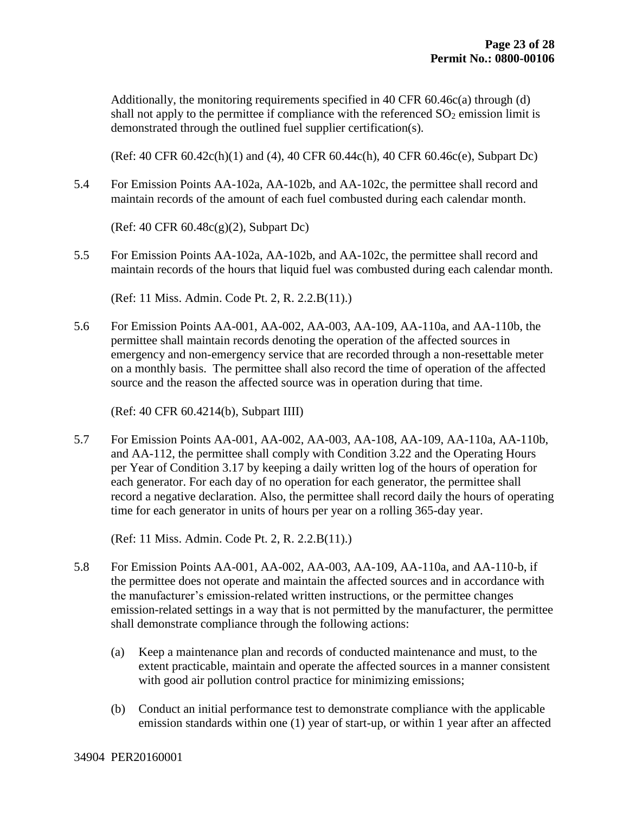Additionally, the monitoring requirements specified in 40 CFR 60.46c(a) through (d) shall not apply to the permittee if compliance with the referenced  $SO_2$  emission limit is demonstrated through the outlined fuel supplier certification(s).

(Ref: 40 CFR 60.42c(h)(1) and (4), 40 CFR 60.44c(h), 40 CFR 60.46c(e), Subpart Dc)

5.4 For Emission Points AA-102a, AA-102b, and AA-102c, the permittee shall record and maintain records of the amount of each fuel combusted during each calendar month.

(Ref: 40 CFR 60.48c(g)(2), Subpart Dc)

5.5 For Emission Points AA-102a, AA-102b, and AA-102c, the permittee shall record and maintain records of the hours that liquid fuel was combusted during each calendar month.

(Ref: 11 Miss. Admin. Code Pt. 2, R. 2.2.B(11).)

5.6 For Emission Points AA-001, AA-002, AA-003, AA-109, AA-110a, and AA-110b, the permittee shall maintain records denoting the operation of the affected sources in emergency and non-emergency service that are recorded through a non-resettable meter on a monthly basis. The permittee shall also record the time of operation of the affected source and the reason the affected source was in operation during that time.

(Ref: 40 CFR 60.4214(b), Subpart IIII)

5.7 For Emission Points AA-001, AA-002, AA-003, AA-108, AA-109, AA-110a, AA-110b, and AA-112, the permittee shall comply with Condition 3.22 and the Operating Hours per Year of Condition 3.17 by keeping a daily written log of the hours of operation for each generator. For each day of no operation for each generator, the permittee shall record a negative declaration. Also, the permittee shall record daily the hours of operating time for each generator in units of hours per year on a rolling 365-day year.

(Ref: 11 Miss. Admin. Code Pt. 2, R. 2.2.B(11).)

- 5.8 For Emission Points AA-001, AA-002, AA-003, AA-109, AA-110a, and AA-110-b, if the permittee does not operate and maintain the affected sources and in accordance with the manufacturer's emission-related written instructions, or the permittee changes emission-related settings in a way that is not permitted by the manufacturer, the permittee shall demonstrate compliance through the following actions:
	- (a) Keep a maintenance plan and records of conducted maintenance and must, to the extent practicable, maintain and operate the affected sources in a manner consistent with good air pollution control practice for minimizing emissions;
	- (b) Conduct an initial performance test to demonstrate compliance with the applicable emission standards within one (1) year of start-up, or within 1 year after an affected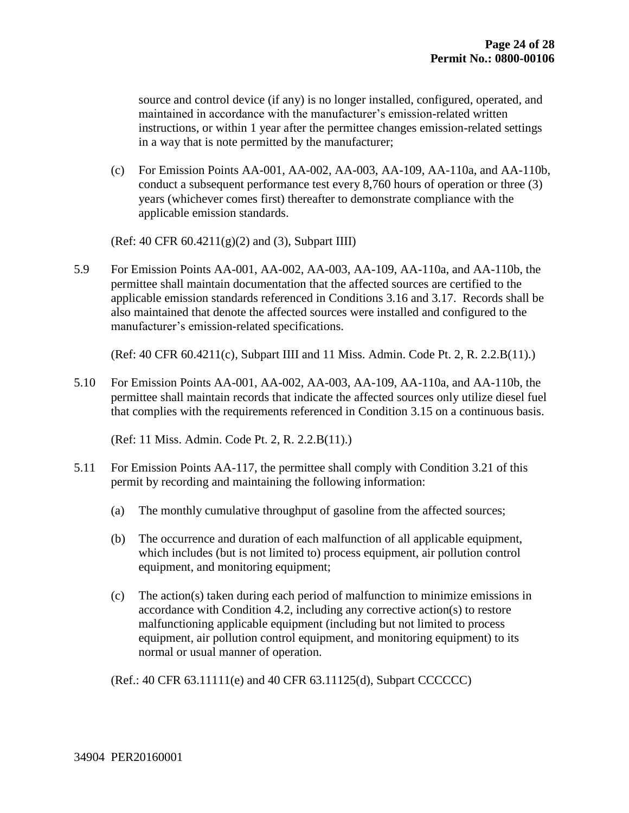source and control device (if any) is no longer installed, configured, operated, and maintained in accordance with the manufacturer's emission-related written instructions, or within 1 year after the permittee changes emission-related settings in a way that is note permitted by the manufacturer;

(c) For Emission Points AA-001, AA-002, AA-003, AA-109, AA-110a, and AA-110b, conduct a subsequent performance test every 8,760 hours of operation or three (3) years (whichever comes first) thereafter to demonstrate compliance with the applicable emission standards.

(Ref: 40 CFR 60.4211(g)(2) and (3), Subpart IIII)

5.9 For Emission Points AA-001, AA-002, AA-003, AA-109, AA-110a, and AA-110b, the permittee shall maintain documentation that the affected sources are certified to the applicable emission standards referenced in Conditions 3.16 and 3.17. Records shall be also maintained that denote the affected sources were installed and configured to the manufacturer's emission-related specifications.

(Ref: 40 CFR 60.4211(c), Subpart IIII and 11 Miss. Admin. Code Pt. 2, R. 2.2.B(11).)

5.10 For Emission Points AA-001, AA-002, AA-003, AA-109, AA-110a, and AA-110b, the permittee shall maintain records that indicate the affected sources only utilize diesel fuel that complies with the requirements referenced in Condition 3.15 on a continuous basis.

(Ref: 11 Miss. Admin. Code Pt. 2, R. 2.2.B(11).)

- 5.11 For Emission Points AA-117, the permittee shall comply with Condition 3.21 of this permit by recording and maintaining the following information:
	- (a) The monthly cumulative throughput of gasoline from the affected sources;
	- (b) The occurrence and duration of each malfunction of all applicable equipment, which includes (but is not limited to) process equipment, air pollution control equipment, and monitoring equipment;
	- (c) The action(s) taken during each period of malfunction to minimize emissions in accordance with Condition 4.2, including any corrective action(s) to restore malfunctioning applicable equipment (including but not limited to process equipment, air pollution control equipment, and monitoring equipment) to its normal or usual manner of operation.

(Ref.: 40 CFR 63.11111(e) and 40 CFR 63.11125(d), Subpart CCCCCC)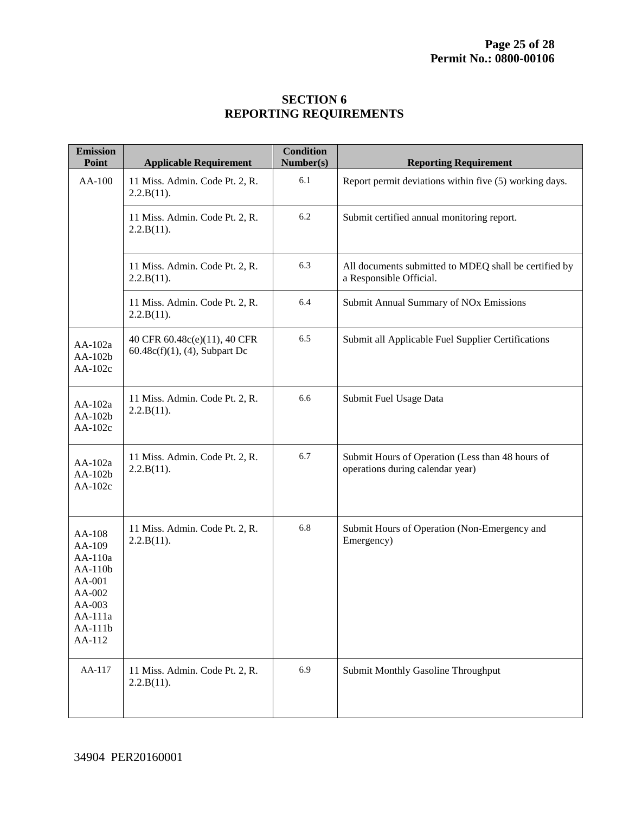#### **SECTION 6 REPORTING REQUIREMENTS**

| <b>Emission</b><br>Point                                                                             | <b>Applicable Requirement</b>                                    | <b>Condition</b><br>Number(s) | <b>Reporting Requirement</b>                                                         |
|------------------------------------------------------------------------------------------------------|------------------------------------------------------------------|-------------------------------|--------------------------------------------------------------------------------------|
| AA-100                                                                                               | 11 Miss. Admin. Code Pt. 2, R.<br>2.2.B(11).                     | 6.1                           | Report permit deviations within five (5) working days.                               |
|                                                                                                      | 11 Miss. Admin. Code Pt. 2, R.<br>2.2.B(11).                     | 6.2                           | Submit certified annual monitoring report.                                           |
|                                                                                                      | 11 Miss. Admin. Code Pt. 2, R.<br>2.2.B(11).                     | 6.3                           | All documents submitted to MDEQ shall be certified by<br>a Responsible Official.     |
|                                                                                                      | 11 Miss. Admin. Code Pt. 2, R.<br>2.2.B(11).                     | 6.4                           | Submit Annual Summary of NOx Emissions                                               |
| AA-102a<br>AA-102b<br>AA-102c                                                                        | 40 CFR 60.48c(e)(11), 40 CFR<br>$60.48c(f)(1)$ , (4), Subpart Dc | 6.5                           | Submit all Applicable Fuel Supplier Certifications                                   |
| AA-102a<br>AA-102b<br>AA-102c                                                                        | 11 Miss. Admin. Code Pt. 2, R.<br>2.2.B(11).                     | 6.6                           | Submit Fuel Usage Data                                                               |
| AA-102a<br>AA-102b<br>$AA-102c$                                                                      | 11 Miss. Admin. Code Pt. 2, R.<br>2.2.B(11).                     | 6.7                           | Submit Hours of Operation (Less than 48 hours of<br>operations during calendar year) |
| AA-108<br>AA-109<br>AA-110a<br>AA-110b<br>AA-001<br>AA-002<br>AA-003<br>AA-111a<br>AA-111b<br>AA-112 | 11 Miss. Admin. Code Pt. 2, R.<br>2.2.B(11).                     | 6.8                           | Submit Hours of Operation (Non-Emergency and<br>Emergency)                           |
| AA-117                                                                                               | 11 Miss. Admin. Code Pt. 2, R.<br>2.2.B(11).                     | 6.9                           | Submit Monthly Gasoline Throughput                                                   |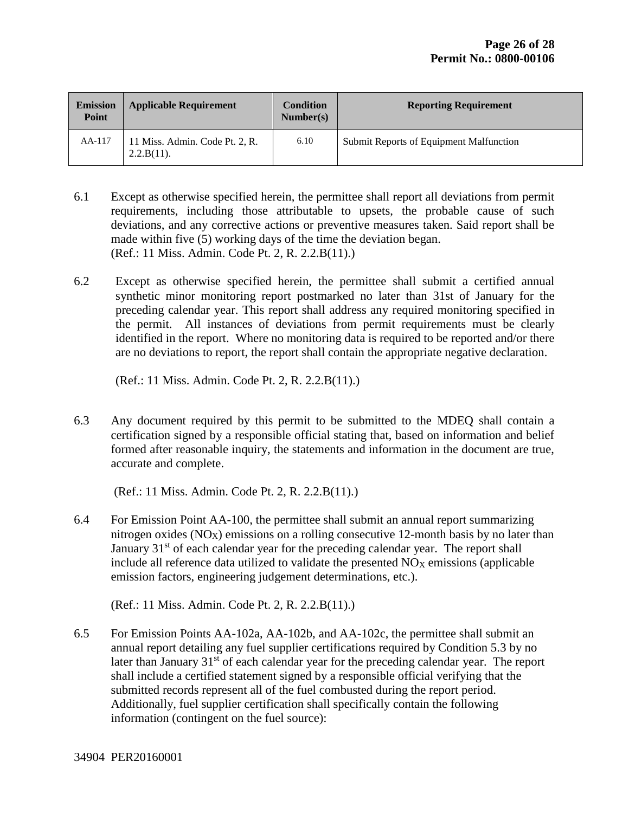| <b>Emission</b><br>Point | <b>Applicable Requirement</b>                   | <b>Condition</b><br>Number(s) | <b>Reporting Requirement</b>            |
|--------------------------|-------------------------------------------------|-------------------------------|-----------------------------------------|
| AA-117                   | 11 Miss. Admin. Code Pt. 2, R.<br>$2.2.B(11)$ . | 6.10                          | Submit Reports of Equipment Malfunction |

- 6.1 Except as otherwise specified herein, the permittee shall report all deviations from permit requirements, including those attributable to upsets, the probable cause of such deviations, and any corrective actions or preventive measures taken. Said report shall be made within five (5) working days of the time the deviation began. (Ref.: 11 Miss. Admin. Code Pt. 2, R. 2.2.B(11).)
- 6.2 Except as otherwise specified herein, the permittee shall submit a certified annual synthetic minor monitoring report postmarked no later than 31st of January for the preceding calendar year. This report shall address any required monitoring specified in the permit. All instances of deviations from permit requirements must be clearly identified in the report. Where no monitoring data is required to be reported and/or there are no deviations to report, the report shall contain the appropriate negative declaration.

(Ref.: 11 Miss. Admin. Code Pt. 2, R. 2.2.B(11).)

6.3 Any document required by this permit to be submitted to the MDEQ shall contain a certification signed by a responsible official stating that, based on information and belief formed after reasonable inquiry, the statements and information in the document are true, accurate and complete.

(Ref.: 11 Miss. Admin. Code Pt. 2, R. 2.2.B(11).)

6.4 For Emission Point AA-100, the permittee shall submit an annual report summarizing nitrogen oxides  $(NO<sub>X</sub>)$  emissions on a rolling consecutive 12-month basis by no later than January 31<sup>st</sup> of each calendar year for the preceding calendar year. The report shall include all reference data utilized to validate the presented  $NO<sub>X</sub>$  emissions (applicable emission factors, engineering judgement determinations, etc.).

(Ref.: 11 Miss. Admin. Code Pt. 2, R. 2.2.B(11).)

6.5 For Emission Points AA-102a, AA-102b, and AA-102c, the permittee shall submit an annual report detailing any fuel supplier certifications required by Condition 5.3 by no later than January  $31<sup>st</sup>$  of each calendar year for the preceding calendar year. The report shall include a certified statement signed by a responsible official verifying that the submitted records represent all of the fuel combusted during the report period. Additionally, fuel supplier certification shall specifically contain the following information (contingent on the fuel source):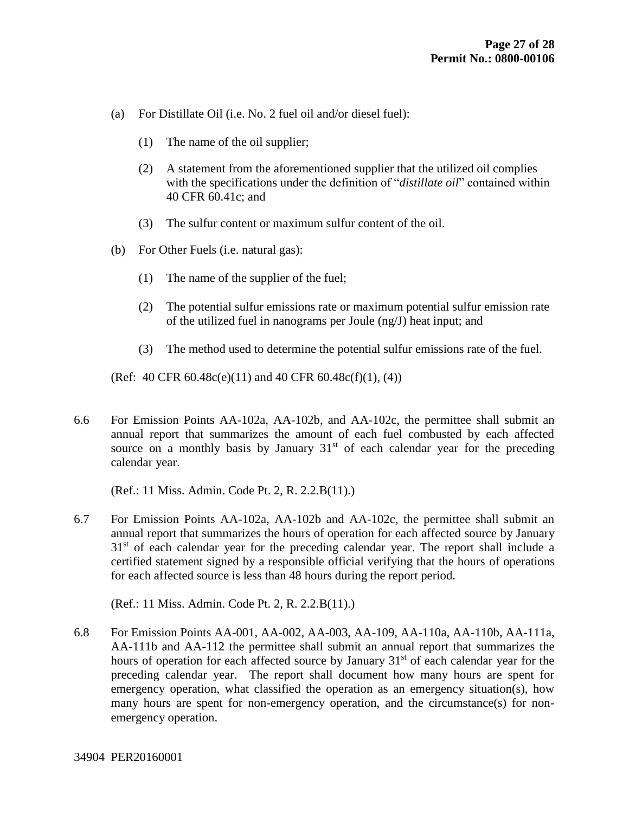- (a) For Distillate Oil (i.e. No. 2 fuel oil and/or diesel fuel):
	- (1) The name of the oil supplier;
	- (2) A statement from the aforementioned supplier that the utilized oil complies with the specifications under the definition of "*distillate oil*" contained within 40 CFR 60.41c; and
	- (3) The sulfur content or maximum sulfur content of the oil.
- (b) For Other Fuels (i.e. natural gas):
	- (1) The name of the supplier of the fuel;
	- (2) The potential sulfur emissions rate or maximum potential sulfur emission rate of the utilized fuel in nanograms per Joule (ng/J) heat input; and
	- (3) The method used to determine the potential sulfur emissions rate of the fuel.

(Ref: 40 CFR  $60.48c(e)(11)$  and  $40$  CFR  $60.48c(f)(1)$ ,  $(4)$ )

6.6 For Emission Points AA-102a, AA-102b, and AA-102c, the permittee shall submit an annual report that summarizes the amount of each fuel combusted by each affected source on a monthly basis by January  $31<sup>st</sup>$  of each calendar year for the preceding calendar year.

(Ref.: 11 Miss. Admin. Code Pt. 2, R. 2.2.B(11).)

6.7 For Emission Points AA-102a, AA-102b and AA-102c, the permittee shall submit an annual report that summarizes the hours of operation for each affected source by January  $31<sup>st</sup>$  of each calendar year for the preceding calendar year. The report shall include a certified statement signed by a responsible official verifying that the hours of operations for each affected source is less than 48 hours during the report period.

(Ref.: 11 Miss. Admin. Code Pt. 2, R. 2.2.B(11).)

6.8 For Emission Points AA-001, AA-002, AA-003, AA-109, AA-110a, AA-110b, AA-111a, AA-111b and AA-112 the permittee shall submit an annual report that summarizes the hours of operation for each affected source by January 31<sup>st</sup> of each calendar year for the preceding calendar year. The report shall document how many hours are spent for emergency operation, what classified the operation as an emergency situation(s), how many hours are spent for non-emergency operation, and the circumstance(s) for nonemergency operation.